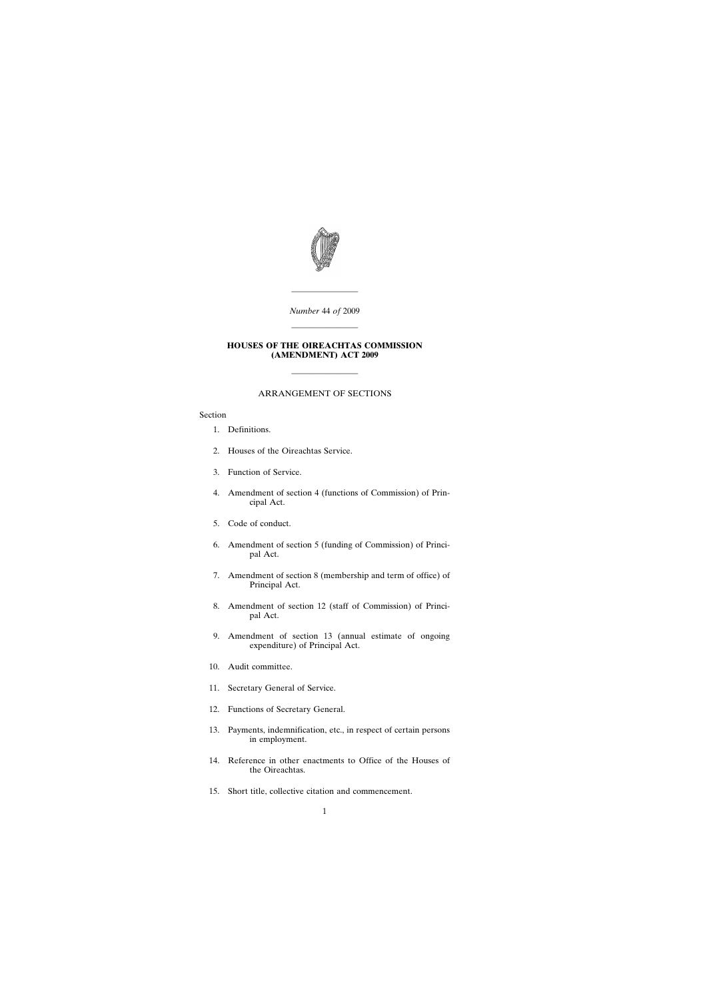

*Number* 44 *of* 2009

————————

————————

### **HOUSES OF THE OIREACHTAS COMMISSION (AMENDMENT) ACT 2009**

## ARRANGEMENT OF SECTIONS

————————

### Section

- [1. Definitions.](#page-2-0)
- [2. Houses of the Oireachtas Service.](#page-2-0)
- [3. Function of Service.](#page-3-0)
- [4. Amendment of section 4 \(functions of Commission\) of Prin](#page-3-0)cipal Act.
- [5. Code of conduct.](#page-4-0)
- [6. Amendment of section 5 \(funding of Commission\) of Princi](#page-4-0)pal Act.
- [7. Amendment of section 8 \(membership and term of office\) of](#page-4-0) Principal Act.
- [8. Amendment of section 12 \(staff of Commission\) of Princi](#page-4-0)pal Act.
- [9. Amendment of section 13 \(annual estimate of ongoing](#page-4-0) expenditure) of Principal Act.
- [10. Audit committee.](#page-5-0)
- [11. Secretary General of Service.](#page-7-0)
- [12. Functions of Secretary General.](#page-7-0)
- [13. Payments, indemnification, etc., in respect of certain persons](#page-9-0) in employment.
- [14. Reference in other enactments to Office of the Houses of](#page-10-0) the Oireachtas.
- [15. Short title, collective citation and commencement.](#page-10-0)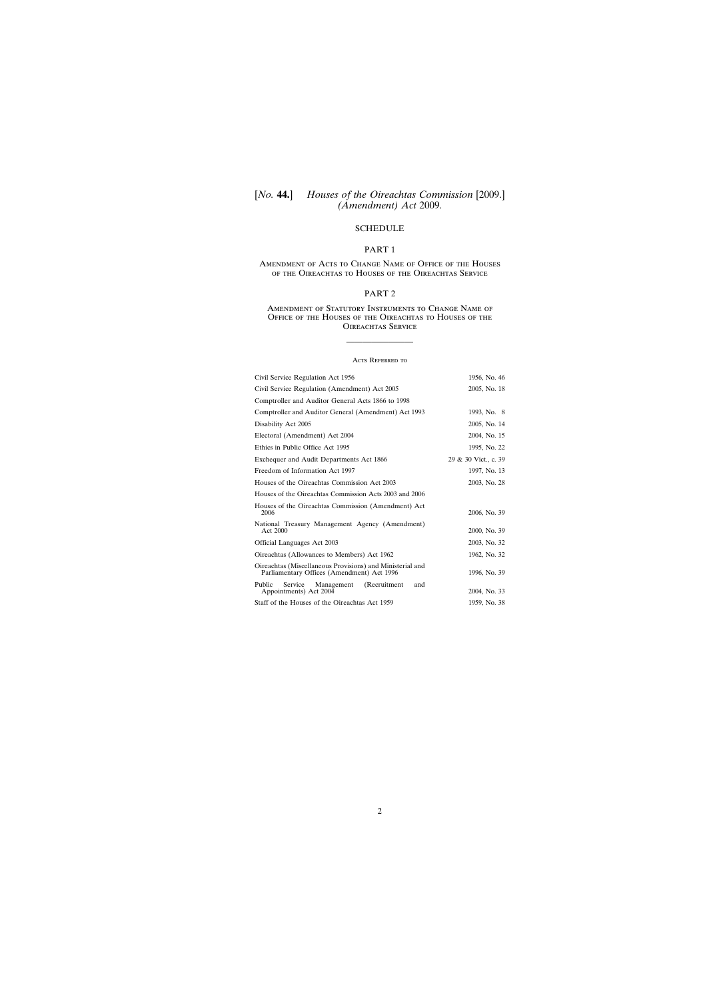# [*No.* **44.**] *Houses of the Oireachtas Commission* [2009.] *(Amendment) Act* 2009*.*

# **[SCHEDULE](#page-11-0)**

# PART 1

### Amendment of Acts to Change Name of Office of the Houses of the Oireachtas to Houses of the Oireachtas Service

# PART 2

#### Amendment of Statutory Instruments to Change Name of Office of the Houses of the Oireachtas to Houses of the OIREACHTAS SERVICE

#### ACTS REFERRED TO

————————

| Civil Service Regulation Act 1956                                                                       | 1956, No. 46         |
|---------------------------------------------------------------------------------------------------------|----------------------|
| Civil Service Regulation (Amendment) Act 2005                                                           | 2005, No. 18         |
| Comptroller and Auditor General Acts 1866 to 1998                                                       |                      |
| Comptroller and Auditor General (Amendment) Act 1993                                                    | 1993, No. 8          |
| Disability Act 2005                                                                                     | 2005, No. 14         |
| Electoral (Amendment) Act 2004                                                                          | 2004, No. 15         |
| Ethics in Public Office Act 1995                                                                        | 1995, No. 22         |
| Exchequer and Audit Departments Act 1866                                                                | 29 & 30 Vict., c. 39 |
| Freedom of Information Act 1997                                                                         | 1997, No. 13         |
| Houses of the Oireachtas Commission Act 2003                                                            | 2003, No. 28         |
| Houses of the Oireachtas Commission Acts 2003 and 2006                                                  |                      |
| Houses of the Oireachtas Commission (Amendment) Act<br>2006                                             | 2006, No. 39         |
| National Treasury Management Agency (Amendment)<br>Act 2000                                             | 2000, No. 39         |
| Official Languages Act 2003                                                                             | 2003, No. 32         |
| Oireachtas (Allowances to Members) Act 1962                                                             | 1962, No. 32         |
| Oireachtas (Miscellaneous Provisions) and Ministerial and<br>Parliamentary Offices (Amendment) Act 1996 | 1996, No. 39         |
| (Recruitment)<br>Service<br>Public<br>Management<br>and<br>Appointments) Act 2004                       | 2004, No. 33         |
| Staff of the Houses of the Oireachtas Act 1959                                                          | 1959, No. 38         |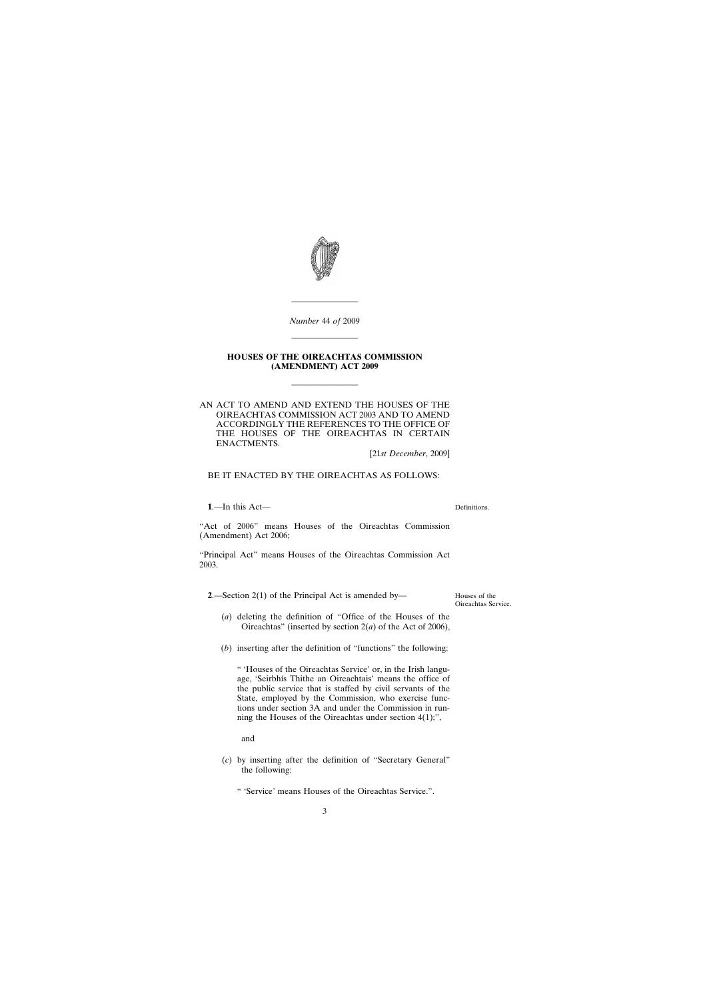<span id="page-2-0"></span>

*Number* 44 *of* 2009

————————

————————

#### **HOUSES OF THE OIREACHTAS COMMISSION (AMENDMENT) ACT 2009**

————————

AN ACT TO AMEND AND EXTEND THE HOUSES OF THE OIREACHTAS COMMISSION ACT 2003 AND TO AMEND ACCORDINGLY THE REFERENCES TO THE OFFICE OF THE HOUSES OF THE OIREACHTAS IN CERTAIN ENACTMENTS.

[21*st December*, 2009]

BE IT ENACTED BY THE OIREACHTAS AS FOLLOWS:

**1**.—In this Act—

Definitions.

"Act of 2006" means Houses of the Oireachtas Commission (Amendment) Act 2006;

"Principal Act" means Houses of the Oireachtas Commission Act 2003.

**2**.—Section 2(1) of the Principal Act is amended by—

Houses of the Oireachtas Service.

- (*a*) deleting the definition of "Office of the Houses of the Oireachtas" (inserted by section 2(*a*) of the Act of 2006),
- (*b*) inserting after the definition of "functions" the following:

" 'Houses of the Oireachtas Service' or, in the Irish language, 'Seirbhís Thithe an Oireachtais' means the office of the public service that is staffed by civil servants of the State, employed by the Commission, who exercise functions under section 3A and under the Commission in running the Houses of the Oireachtas under section 4(1);",

and

(*c*) by inserting after the definition of "Secretary General" the following:

" 'Service' means Houses of the Oireachtas Service.".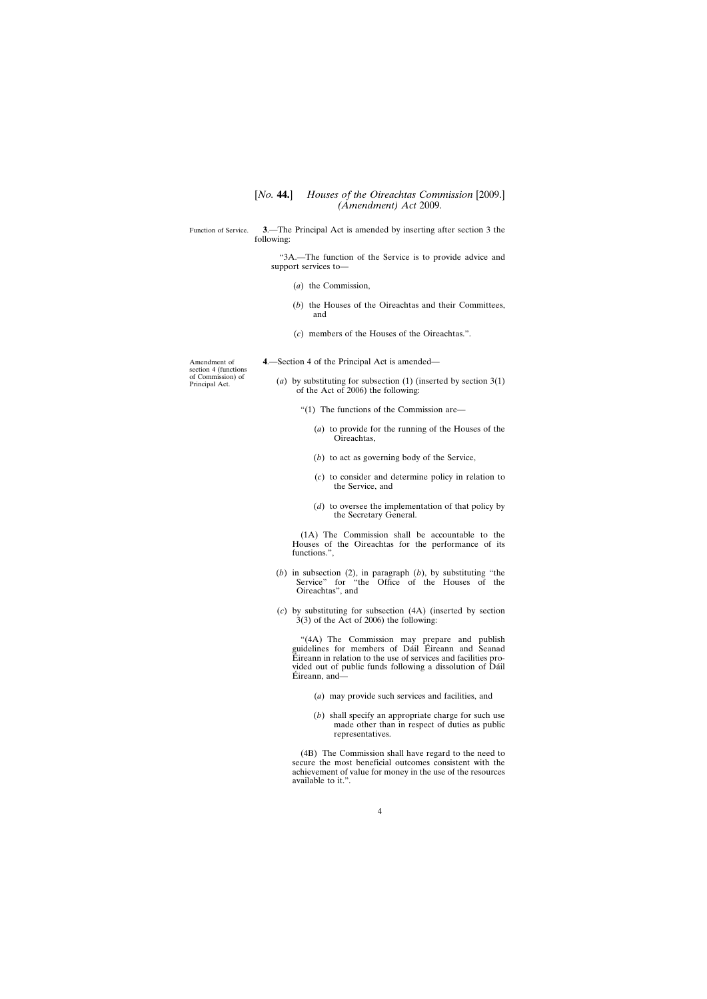<span id="page-3-0"></span>Function of Service. **3**.—The Principal Act is amended by inserting after section 3 the following:

> "3A.—The function of the Service is to provide advice and support services to—

- (*a*) the Commission,
- (*b*) the Houses of the Oireachtas and their Committees, and
- (*c*) members of the Houses of the Oireachtas.".

Amendment of section 4 (functions of Commission) of Principal Act.

- **4**.—Section 4 of the Principal Act is amended—
	- (*a*) by substituting for subsection (1) (inserted by section 3(1) of the Act of 2006) the following:
		- "(1) The functions of the Commission are—
			- (*a*) to provide for the running of the Houses of the Oireachtas,
			- (*b*) to act as governing body of the Service,
			- (*c*) to consider and determine policy in relation to the Service, and
			- (*d*) to oversee the implementation of that policy by the Secretary General.

(1A) The Commission shall be accountable to the Houses of the Oireachtas for the performance of its functions.",

- (*b*) in subsection (2), in paragraph (*b*), by substituting "the Service" for "the Office of the Houses of the Oireachtas", and
- (*c*) by substituting for subsection (4A) (inserted by section 3(3) of the Act of 2006) the following:

"(4A) The Commission may prepare and publish guidelines for members of Dáil Éireann and Seanad Éireann in relation to the use of services and facilities provided out of public funds following a dissolution of Dáil Éireann, and—

- (*a*) may provide such services and facilities, and
- (*b*) shall specify an appropriate charge for such use made other than in respect of duties as public representatives.

(4B) The Commission shall have regard to the need to secure the most beneficial outcomes consistent with the achievement of value for money in the use of the resources available to it.".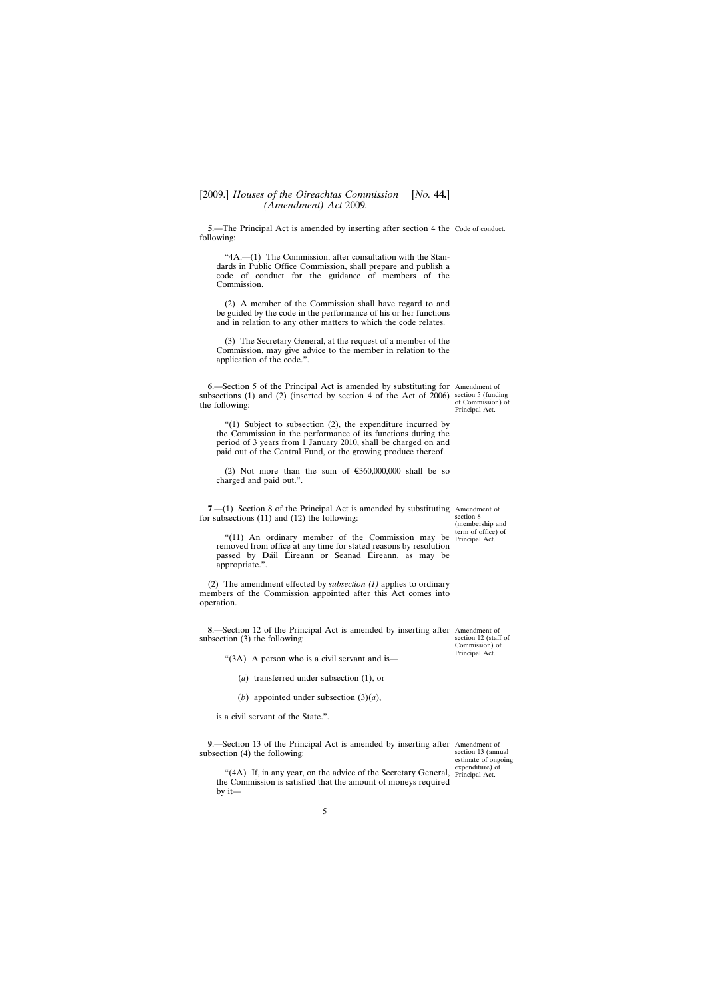<span id="page-4-0"></span>**5**.—The Principal Act is amended by inserting after section 4 the Code of conduct. following:

"4A.—(1) The Commission, after consultation with the Standards in Public Office Commission, shall prepare and publish a code of conduct for the guidance of members of the Commission.

(2) A member of the Commission shall have regard to and be guided by the code in the performance of his or her functions and in relation to any other matters to which the code relates.

(3) The Secretary General, at the request of a member of the Commission, may give advice to the member in relation to the application of the code.".

**6**.—Section 5 of the Principal Act is amended by substituting for Amendment of subsections (1) and (2) (inserted by section 4 of the Act of 2006) section 5 (funding the following:

of Commission) of Principal Act.

"(1) Subject to subsection (2), the expenditure incurred by the Commission in the performance of its functions during the period of 3 years from 1 January 2010, shall be charged on and paid out of the Central Fund, or the growing produce thereof.

(2) Not more than the sum of  $\epsilon$ 360,000,000 shall be so charged and paid out.".

**7.**—(1) Section 8 of the Principal Act is amended by substituting Amendment of for subsections (11) and (12) the following:

section 8 (membership and term of office) of

section 12 (staff of Commission) of Principal Act.

"(11) An ordinary member of the Commission may be Principal Act. removed from office at any time for stated reasons by resolution passed by Dáil Éireann or Seanad Éireann, as may be appropriate.".

(2) The amendment effected by *subsection (1)* applies to ordinary members of the Commission appointed after this Act comes into operation.

**8**.—Section 12 of the Principal Act is amended by inserting after Amendment of subsection (3) the following:

"(3A) A person who is a civil servant and is—

- (*a*) transferred under subsection (1), or
- (*b*) appointed under subsection (3)(*a*),

is a civil servant of the State.".

**9**.—Section 13 of the Principal Act is amended by inserting after Amendment of subsection (4) the following:

section 13 (annual estimate of ongoing expenditure) of

"(4A) If, in any year, on the advice of the Secretary General, Principal Act.the Commission is satisfied that the amount of moneys required by it—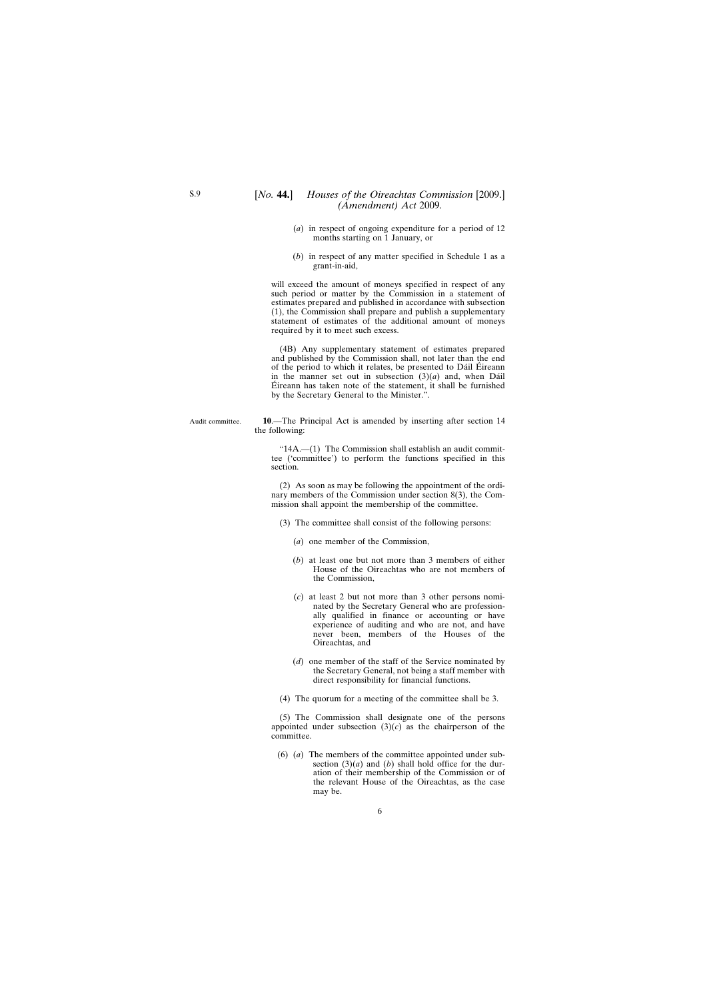- <span id="page-5-0"></span>(*a*) in respect of ongoing expenditure for a period of 12 months starting on 1 January, or
- (*b*) in respect of any matter specified in Schedule 1 as a grant-in-aid,

will exceed the amount of moneys specified in respect of any such period or matter by the Commission in a statement of estimates prepared and published in accordance with subsection (1), the Commission shall prepare and publish a supplementary statement of estimates of the additional amount of moneys required by it to meet such excess.

(4B) Any supplementary statement of estimates prepared and published by the Commission shall, not later than the end of the period to which it relates, be presented to Dáil Éireann in the manner set out in subsection  $(3)(a)$  and, when Dáil Éireann has taken note of the statement, it shall be furnished by the Secretary General to the Minister.".

Audit committee. **10**.—The Principal Act is amended by inserting after section 14 the following:

> "14A.—(1) The Commission shall establish an audit committee ('committee') to perform the functions specified in this section.

> (2) As soon as may be following the appointment of the ordinary members of the Commission under section 8(3), the Commission shall appoint the membership of the committee.

- (3) The committee shall consist of the following persons:
	- (*a*) one member of the Commission,
	- (*b*) at least one but not more than 3 members of either House of the Oireachtas who are not members of the Commission,
	- (*c*) at least 2 but not more than 3 other persons nominated by the Secretary General who are professionally qualified in finance or accounting or have experience of auditing and who are not, and have never been, members of the Houses of the Oireachtas, and
	- (*d*) one member of the staff of the Service nominated by the Secretary General, not being a staff member with direct responsibility for financial functions.
- (4) The quorum for a meeting of the committee shall be 3.

(5) The Commission shall designate one of the persons appointed under subsection  $(3)(c)$  as the chairperson of the committee.

(6) (*a*) The members of the committee appointed under subsection  $(3)(a)$  and  $(b)$  shall hold office for the duration of their membership of the Commission or of the relevant House of the Oireachtas, as the case may be.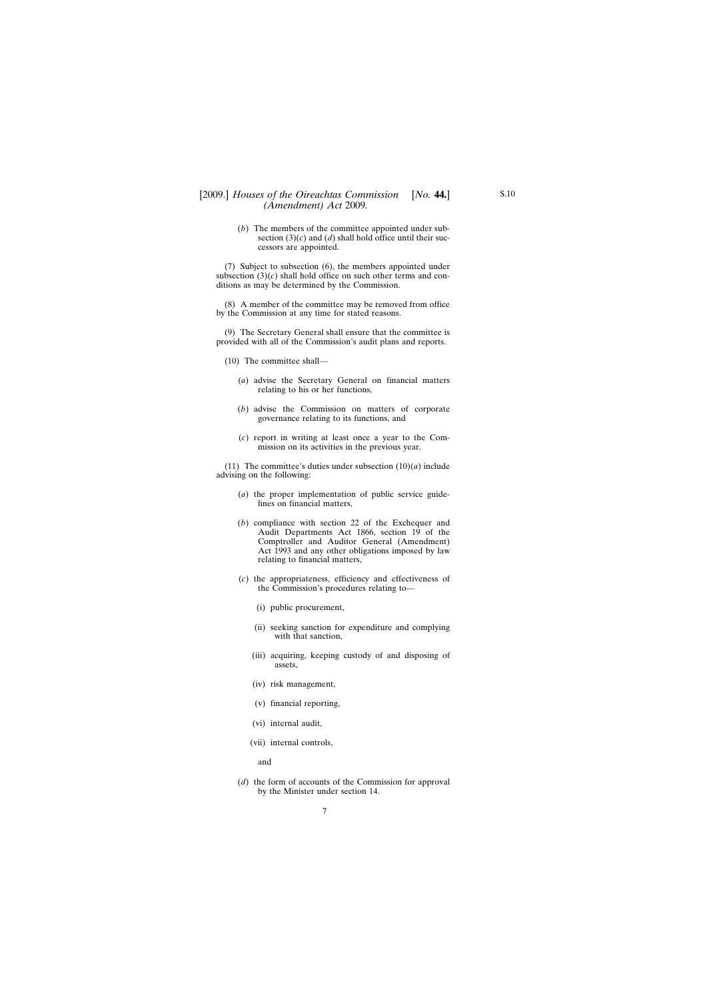# [2009.] [ *Houses of the Oireachtas Commission No.* **44.**] *(Amendment) Act* 2009*.*

(*b*) The members of the committee appointed under subsection  $(3)(c)$  and  $(d)$  shall hold office until their successors are appointed.

(7) Subject to subsection (6), the members appointed under subsection  $(3)(c)$  shall hold office on such other terms and conditions as may be determined by the Commission.

(8) A member of the committee may be removed from office by the Commission at any time for stated reasons.

(9) The Secretary General shall ensure that the committee is provided with all of the Commission's audit plans and reports.

- (10) The committee shall—
	- (*a*) advise the Secretary General on financial matters relating to his or her functions,
	- (*b*) advise the Commission on matters of corporate governance relating to its functions, and
	- (*c*) report in writing at least once a year to the Commission on its activities in the previous year.

(11) The committee's duties under subsection  $(10)(a)$  include advising on the following:

- (*a*) the proper implementation of public service guidelines on financial matters,
- (*b*) compliance with section 22 of the Exchequer and Audit Departments Act 1866, section 19 of the Comptroller and Auditor General (Amendment) Act 1993 and any other obligations imposed by law relating to financial matters,
- (*c*) the appropriateness, efficiency and effectiveness of the Commission's procedures relating to—
	- (i) public procurement,
	- (ii) seeking sanction for expenditure and complying with that sanction,
	- (iii) acquiring, keeping custody of and disposing of assets,
	- (iv) risk management,
	- (v) financial reporting,
	- (vi) internal audit,
	- (vii) internal controls,

and

(*d*) the form of accounts of the Commission for approval by the Minister under section 14.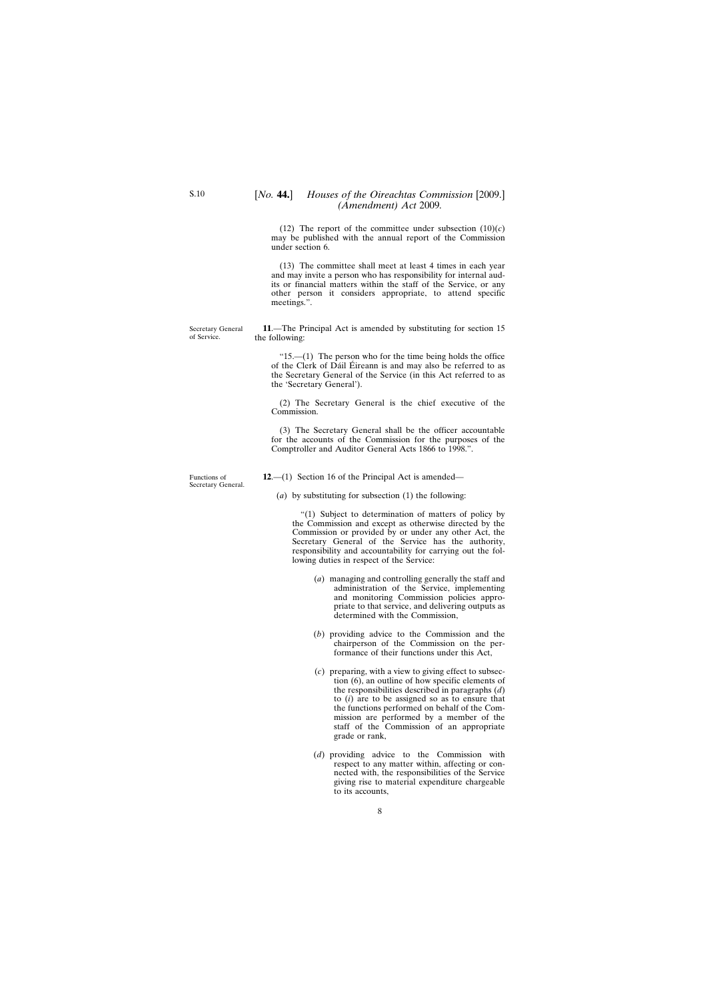(12) The report of the committee under subsection  $(10)(c)$ may be published with the annual report of the Commission under section 6.

(13) The committee shall meet at least 4 times in each year and may invite a person who has responsibility for internal audits or financial matters within the staff of the Service, or any other person it considers appropriate, to attend specific meetings.".

**11**.—The Principal Act is amended by substituting for section 15 the following:

" $15$ .— $(1)$  The person who for the time being holds the office of the Clerk of Dáil Éireann is and may also be referred to as the Secretary General of the Service (in this Act referred to as the 'Secretary General').

(2) The Secretary General is the chief executive of the Commission.

(3) The Secretary General shall be the officer accountable for the accounts of the Commission for the purposes of the Comptroller and Auditor General Acts 1866 to 1998.".

Functions of Secretary General.

Secretary General of Service.

**12**.—(1) Section 16 of the Principal Act is amended—

(*a*) by substituting for subsection (1) the following:

"(1) Subject to determination of matters of policy by the Commission and except as otherwise directed by the Commission or provided by or under any other Act, the Secretary General of the Service has the authority, responsibility and accountability for carrying out the following duties in respect of the Service:

- (*a*) managing and controlling generally the staff and administration of the Service, implementing and monitoring Commission policies appropriate to that service, and delivering outputs as determined with the Commission,
- (*b*) providing advice to the Commission and the chairperson of the Commission on the performance of their functions under this Act,
- (*c*) preparing, with a view to giving effect to subsection (6), an outline of how specific elements of the responsibilities described in paragraphs (*d*) to (*i*) are to be assigned so as to ensure that the functions performed on behalf of the Commission are performed by a member of the staff of the Commission of an appropriate grade or rank,
- (*d*) providing advice to the Commission with respect to any matter within, affecting or connected with, the responsibilities of the Service giving rise to material expenditure chargeable to its accounts,

<span id="page-7-0"></span>S.10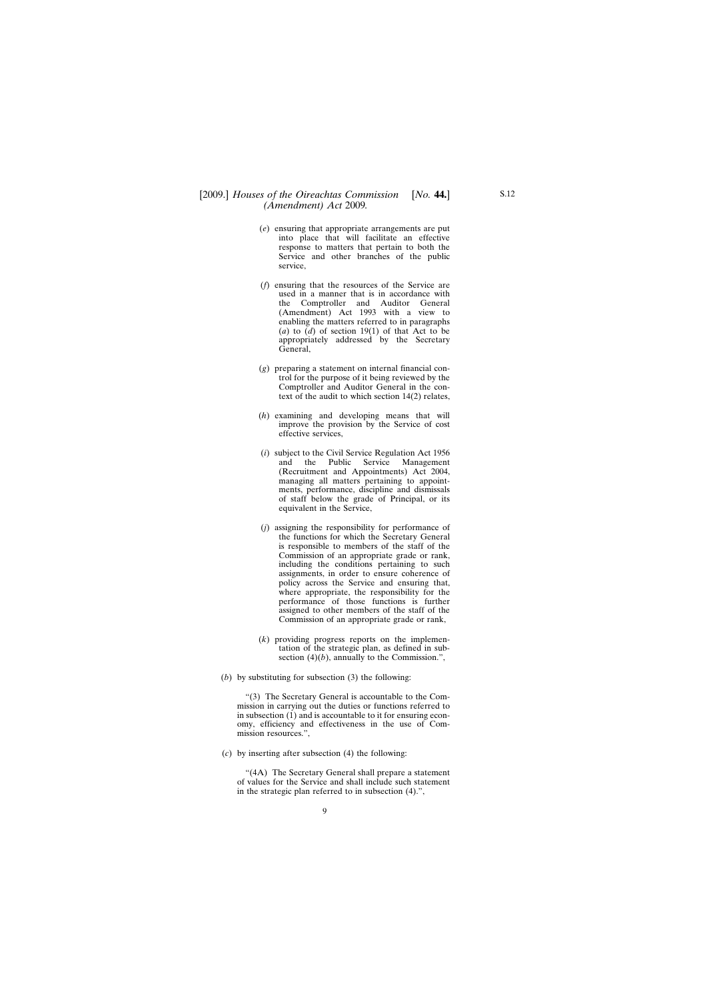## [2009.] *Houses of the Oireachtas Commission [No.* **44.]** *(Amendment) Act* 2009*.*

- (*e*) ensuring that appropriate arrangements are put into place that will facilitate an effective response to matters that pertain to both the Service and other branches of the public service,
- (*f*) ensuring that the resources of the Service are used in a manner that is in accordance with the Comptroller and Auditor General (Amendment) Act 1993 with a view to enabling the matters referred to in paragraphs (*a*) to (*d*) of section 19(1) of that Act to be appropriately addressed by the Secretary General,
- (*g*) preparing a statement on internal financial control for the purpose of it being reviewed by the Comptroller and Auditor General in the context of the audit to which section 14(2) relates,
- (*h*) examining and developing means that will improve the provision by the Service of cost effective services,
- (*i*) subject to the Civil Service Regulation Act 1956 and the Public Service Management (Recruitment and Appointments) Act 2004, managing all matters pertaining to appointments, performance, discipline and dismissals of staff below the grade of Principal, or its equivalent in the Service,
- (*j*) assigning the responsibility for performance of the functions for which the Secretary General is responsible to members of the staff of the Commission of an appropriate grade or rank, including the conditions pertaining to such assignments, in order to ensure coherence of policy across the Service and ensuring that, where appropriate, the responsibility for the performance of those functions is further assigned to other members of the staff of the Commission of an appropriate grade or rank,
- (*k*) providing progress reports on the implementation of the strategic plan, as defined in subsection  $(4)(b)$ , annually to the Commission.",
- (*b*) by substituting for subsection (3) the following:

"(3) The Secretary General is accountable to the Commission in carrying out the duties or functions referred to in subsection (1) and is accountable to it for ensuring economy, efficiency and effectiveness in the use of Commission resources.",

(*c*) by inserting after subsection (4) the following:

"(4A) The Secretary General shall prepare a statement of values for the Service and shall include such statement in the strategic plan referred to in subsection (4).",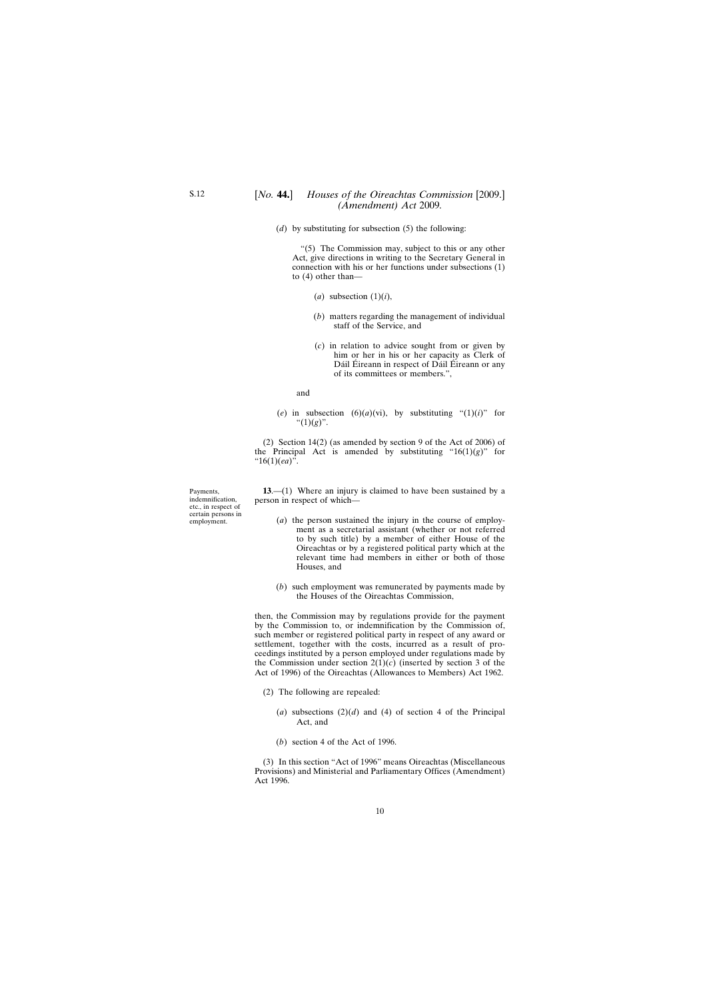<span id="page-9-0"></span>(*d*) by substituting for subsection (5) the following:

"(5) The Commission may, subject to this or any other Act, give directions in writing to the Secretary General in connection with his or her functions under subsections (1) to (4) other than—

- $(a)$  subsection  $(1)(i)$ ,
- (*b*) matters regarding the management of individual staff of the Service, and
- (*c*) in relation to advice sought from or given by him or her in his or her capacity as Clerk of Dáil Éireann in respect of Dáil Éireann or any of its committees or members.",

and

(*e*) in subsection (6)(*a*)(vi), by substituting "(1)(*i*)" for " $(1)(g)$ ".

(2) Section 14(2) (as amended by section 9 of the Act of 2006) of the Principal Act is amended by substituting " $16(1)(g)$ " for "16(1)(*ea*)".

**13**.—(1) Where an injury is claimed to have been sustained by a person in respect of which—

- (*a*) the person sustained the injury in the course of employment as a secretarial assistant (whether or not referred to by such title) by a member of either House of the Oireachtas or by a registered political party which at the relevant time had members in either or both of those Houses, and
- (*b*) such employment was remunerated by payments made by the Houses of the Oireachtas Commission,

then, the Commission may by regulations provide for the payment by the Commission to, or indemnification by the Commission of, such member or registered political party in respect of any award or settlement, together with the costs, incurred as a result of proceedings instituted by a person employed under regulations made by the Commission under section  $2(1)(c)$  (inserted by section 3 of the Act of 1996) of the Oireachtas (Allowances to Members) Act 1962.

- (2) The following are repealed:
	- (*a*) subsections  $(2)(d)$  and (4) of section 4 of the Principal Act, and
	- (*b*) section 4 of the Act of 1996.

(3) In this section "Act of 1996" means Oireachtas (Miscellaneous Provisions) and Ministerial and Parliamentary Offices (Amendment) Act 1996.

Payments, indemnification, etc., in respect of certain persons in employment.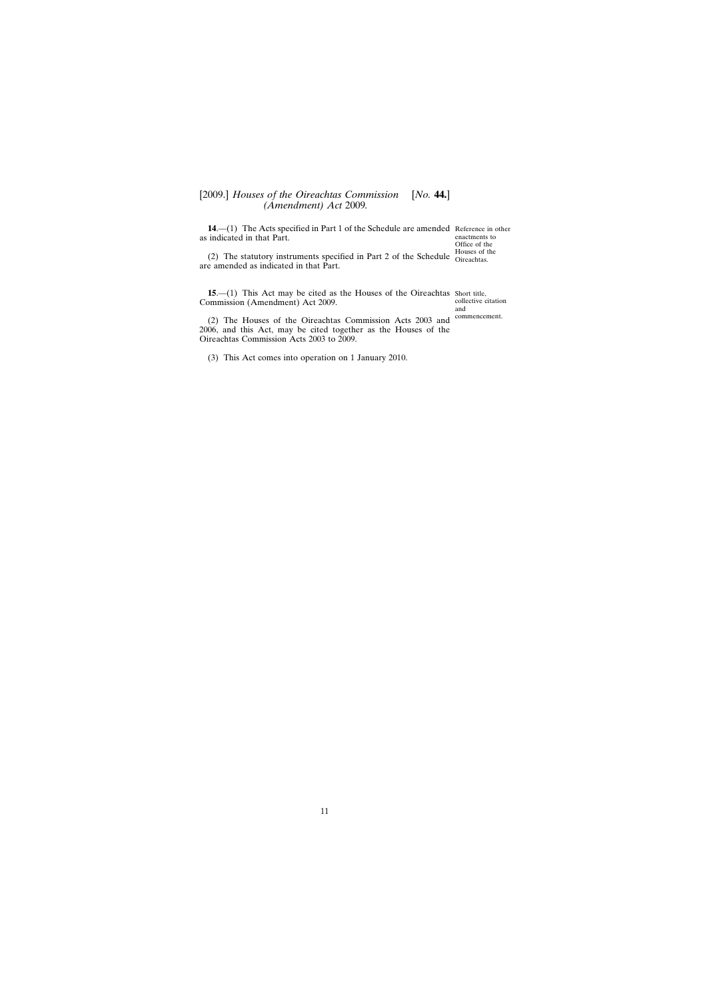# <span id="page-10-0"></span>[2009.] [ *Houses of the Oireachtas Commission No.* **44.**] *(Amendment) Act* 2009*.*

**14.** (1) The Acts specified in Part 1 of the Schedule are amended Reference in other as indicated in that Part.

(2) The statutory instruments specified in Part 2 of the Schedule  $\frac{\text{House of the}}{\text{Oireachtas}}$ are amended as indicated in that Part. Oireachtas.

**15.**—(1) This Act may be cited as the Houses of the Oireachtas Short title, Commission (Amendment) Act 2009.

collective citation and commencement.

enactments to Office of the

(2) The Houses of the Oireachtas Commission Acts 2003 and 2006, and this Act, may be cited together as the Houses of the Oireachtas Commission Acts 2003 to 2009.

(3) This Act comes into operation on 1 January 2010.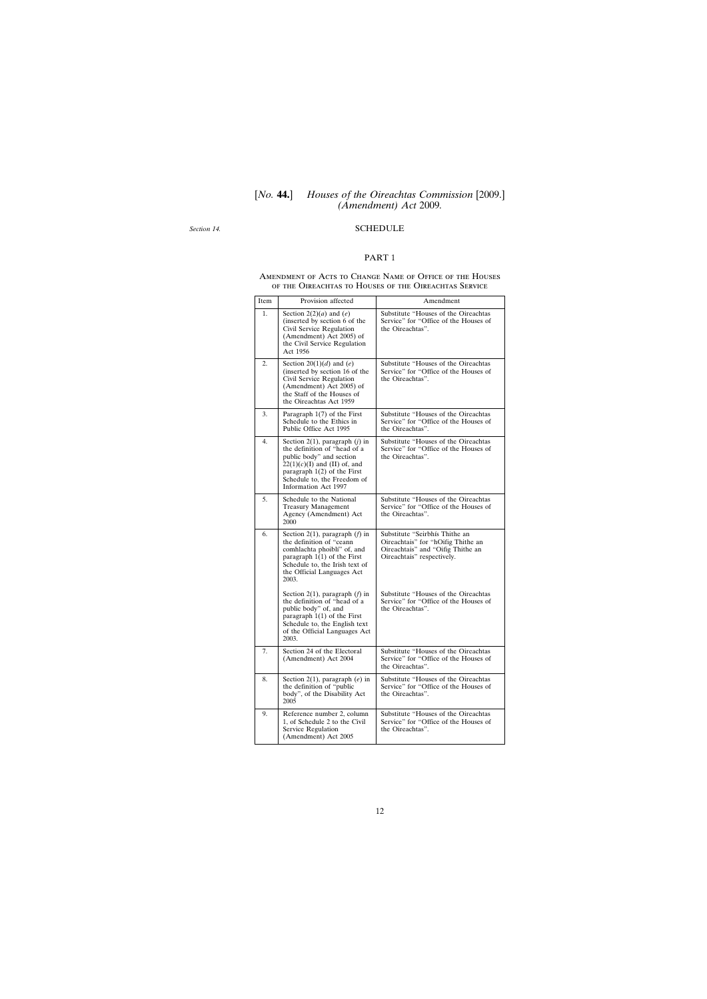# [*No.* **44.**] *Houses of the Oireachtas Commission* [2009.] *(Amendment) Act* 2009*.*

<span id="page-11-0"></span>*Section 14.*

## SCHEDULE

### PART 1

#### Amendment of Acts to Change Name of Office of the Houses of the Oireachtas to Houses of the Oireachtas Service

| Item | Provision affected                                                                                                                                                                                                     | Amendment                                                                                                                               |
|------|------------------------------------------------------------------------------------------------------------------------------------------------------------------------------------------------------------------------|-----------------------------------------------------------------------------------------------------------------------------------------|
| 1.   | Section $2(2)(a)$ and $(e)$<br>(inserted by section 6 of the<br>Civil Service Regulation<br>(Amendment) Act 2005) of<br>the Civil Service Regulation<br>Act 1956                                                       | Substitute "Houses of the Oireachtas<br>Service" for "Office of the Houses of<br>the Oireachtas".                                       |
| 2.   | Section 20(1)(d) and (e)<br>(inserted by section 16 of the<br>Civil Service Regulation<br>(Amendment) Act 2005) of<br>the Staff of the Houses of<br>the Oireachtas Act 1959                                            | Substitute "Houses of the Oireachtas<br>Service" for "Office of the Houses of<br>the Oireachtas".                                       |
| 3.   | Paragraph $1(7)$ of the First<br>Schedule to the Ethics in<br>Public Office Act 1995                                                                                                                                   | Substitute "Houses of the Oireachtas<br>Service" for "Office of the Houses of<br>the Oireachtas".                                       |
| 4.   | Section 2(1), paragraph $(j)$ in<br>the definition of "head of a<br>public body" and section<br>$22(1)(c)(I)$ and (II) of, and<br>paragraph $1(2)$ of the First<br>Schedule to, the Freedom of<br>Information Act 1997 | Substitute "Houses of the Oireachtas<br>Service" for "Office of the Houses of<br>the Oireachtas".                                       |
| 5.   | Schedule to the National<br><b>Treasury Management</b><br>Agency (Amendment) Act<br>2000                                                                                                                               | Substitute "Houses of the Oireachtas<br>Service" for "Office of the Houses of<br>the Oireachtas".                                       |
| 6.   | Section 2(1), paragraph $(f)$ in<br>the definition of "ceann<br>comhlachta phoiblí" of, and<br>paragraph $1(1)$ of the First<br>Schedule to, the Irish text of<br>the Official Languages Act<br>2003.                  | Substitute "Seirbhís Thithe an<br>Oireachtais" for "hOifig Thithe an<br>Oireachtais" and "Oifig Thithe an<br>Oireachtais" respectively. |
|      | Section 2(1), paragraph $(f)$ in<br>the definition of "head of a<br>public body" of, and<br>paragraph $1(1)$ of the First<br>Schedule to, the English text<br>of the Official Languages Act<br>2003.                   | Substitute "Houses of the Oireachtas<br>Service" for "Office of the Houses of<br>the Oireachtas".                                       |
| 7.   | Section 24 of the Electoral<br>(Amendment) Act 2004                                                                                                                                                                    | Substitute "Houses of the Oireachtas<br>Service" for "Office of the Houses of<br>the Oireachtas".                                       |
| 8.   | Section 2(1), paragraph $(e)$ in<br>the definition of "public<br>body", of the Disability Act<br>2005                                                                                                                  | Substitute "Houses of the Oireachtas<br>Service" for "Office of the Houses of<br>the Oireachtas".                                       |
| 9.   | Reference number 2, column<br>1, of Schedule 2 to the Civil<br>Service Regulation<br>(Amendment) Act 2005                                                                                                              | Substitute "Houses of the Oireachtas<br>Service" for "Office of the Houses of<br>the Oireachtas".                                       |